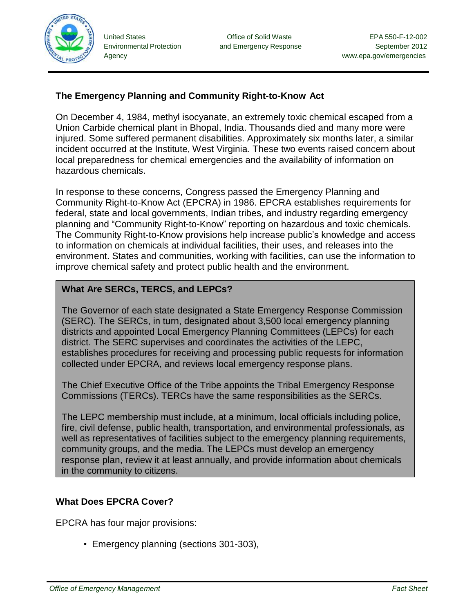

## **The Emergency Planning and Community Right-to-Know Act**

On December 4, 1984, methyl isocyanate, an extremely toxic chemical escaped from a Union Carbide chemical plant in Bhopal, India. Thousands died and many more were injured. Some suffered permanent disabilities. Approximately six months later, a similar incident occurred at the Institute, West Virginia. These two events raised concern about local preparedness for chemical emergencies and the availability of information on hazardous chemicals.

In response to these concerns, Congress passed the Emergency Planning and Community Right-to-Know Act (EPCRA) in 1986. EPCRA establishes requirements for federal, state and local governments, Indian tribes, and industry regarding emergency planning and "Community Right-to-Know" reporting on hazardous and toxic chemicals. The Community Right-to-Know provisions help increase public's knowledge and access to information on chemicals at individual facilities, their uses, and releases into the environment. States and communities, working with facilities, can use the information to improve chemical safety and protect public health and the environment.

## **What Are SERCs, TERCS, and LEPCs?**

The Governor of each state designated a State Emergency Response Commission (SERC). The SERCs, in turn, designated about 3,500 local emergency planning districts and appointed Local Emergency Planning Committees (LEPCs) for each district. The SERC supervises and coordinates the activities of the LEPC, establishes procedures for receiving and processing public requests for information collected under EPCRA, and reviews local emergency response plans.

The Chief Executive Office of the Tribe appoints the Tribal Emergency Response Commissions (TERCs). TERCs have the same responsibilities as the SERCs.

The LEPC membership must include, at a minimum, local officials including police, fire, civil defense, public health, transportation, and environmental professionals, as well as representatives of facilities subject to the emergency planning requirements, community groups, and the media. The LEPCs must develop an emergency response plan, review it at least annually, and provide information about chemicals in the community to citizens.

#### **What Does EPCRA Cover?**

EPCRA has four major provisions:

• Emergency planning (sections 301-303),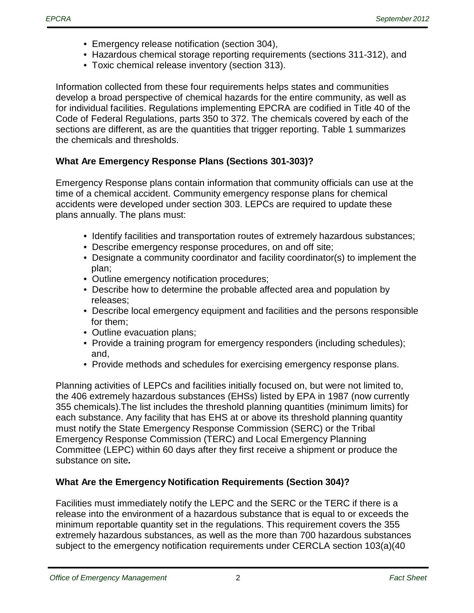- Emergency release notification (section 304),
- Hazardous chemical storage reporting requirements (sections 311-312), and
- Toxic chemical release inventory (section 313).

Information collected from these four requirements helps states and communities develop a broad perspective of chemical hazards for the entire community, as well as for individual facilities. Regulations implementing EPCRA are codified in Title 40 of the Code of Federal Regulations, parts 350 to 372. The chemicals covered by each of the sections are different, as are the quantities that trigger reporting. Table 1 summarizes the chemicals and thresholds.

## **What Are Emergency Response Plans (Sections 301-303)?**

Emergency Response plans contain information that community officials can use at the time of a chemical accident. Community emergency response plans for chemical accidents were developed under section 303. LEPCs are required to update these plans annually. The plans must:

- Identify facilities and transportation routes of extremely hazardous substances;
- Describe emergency response procedures, on and off site;
- Designate a community coordinator and facility coordinator(s) to implement the plan;
- Outline emergency notification procedures;
- Describe how to determine the probable affected area and population by releases;
- Describe local emergency equipment and facilities and the persons responsible for them;
- Outline evacuation plans;
- Provide a training program for emergency responders (including schedules); and,
- Provide methods and schedules for exercising emergency response plans.

Planning activities of LEPCs and facilities initially focused on, but were not limited to, the 406 extremely hazardous substances (EHSs) listed by EPA in 1987 (now currently 355 chemicals).The list includes the threshold planning quantities (minimum limits) for each substance. Any facility that has EHS at or above its threshold planning quantity must notify the State Emergency Response Commission (SERC) or the Tribal Emergency Response Commission (TERC) and Local Emergency Planning Committee (LEPC) within 60 days after they first receive a shipment or produce the substance on site*.*

# **What Are the Emergency Notification Requirements (Section 304)?**

Facilities must immediately notify the LEPC and the SERC or the TERC if there is a release into the environment of a hazardous substance that is equal to or exceeds the minimum reportable quantity set in the regulations. This requirement covers the 355 extremely hazardous substances, as well as the more than 700 hazardous substances subject to the emergency notification requirements under CERCLA section 103(a)(40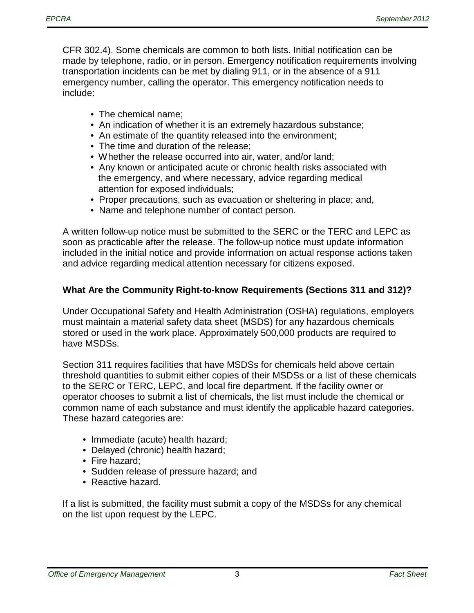CFR 302.4). Some chemicals are common to both lists. Initial notification can be made by telephone, radio, or in person. Emergency notification requirements involving transportation incidents can be met by dialing 911, or in the absence of a 911 emergency number, calling the operator. This emergency notification needs to include:

- The chemical name;
- An indication of whether it is an extremely hazardous substance;
- An estimate of the quantity released into the environment;
- The time and duration of the release;
- Whether the release occurred into air, water, and/or land;
- Any known or anticipated acute or chronic health risks associated with the emergency, and where necessary, advice regarding medical attention for exposed individuals;
- Proper precautions, such as evacuation or sheltering in place; and,
- Name and telephone number of contact person.

A written follow-up notice must be submitted to the SERC or the TERC and LEPC as soon as practicable after the release. The follow-up notice must update information included in the initial notice and provide information on actual response actions taken and advice regarding medical attention necessary for citizens exposed.

# **What Are the Community Right-to-know Requirements (Sections 311 and 312)?**

Under Occupational Safety and Health Administration (OSHA) regulations, employers must maintain a material safety data sheet (MSDS) for any hazardous chemicals stored or used in the work place. Approximately 500,000 products are required to have MSDSs.

Section 311 requires facilities that have MSDSs for chemicals held above certain threshold quantities to submit either copies of their MSDSs or a list of these chemicals to the SERC or TERC, LEPC, and local fire department. If the facility owner or operator chooses to submit a list of chemicals, the list must include the chemical or common name of each substance and must identify the applicable hazard categories. These hazard categories are:

- Immediate (acute) health hazard;
- Delayed (chronic) health hazard;
- Fire hazard;
- Sudden release of pressure hazard; and
- Reactive hazard.

If a list is submitted, the facility must submit a copy of the MSDSs for any chemical on the list upon request by the LEPC.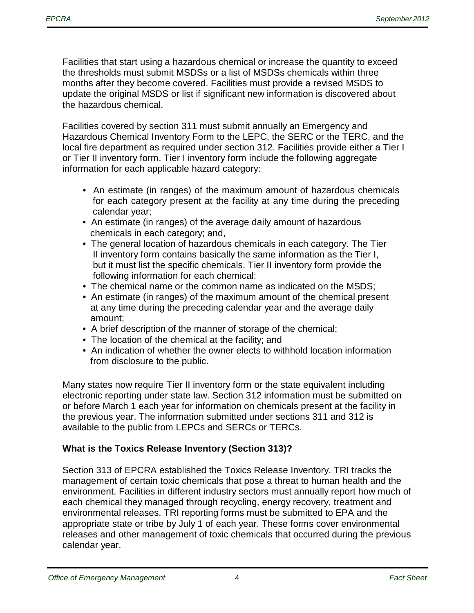Facilities that start using a hazardous chemical or increase the quantity to exceed the thresholds must submit MSDSs or a list of MSDSs chemicals within three months after they become covered. Facilities must provide a revised MSDS to update the original MSDS or list if significant new information is discovered about the hazardous chemical.

Facilities covered by section 311 must submit annually an Emergency and Hazardous Chemical Inventory Form to the LEPC, the SERC or the TERC, and the local fire department as required under section 312. Facilities provide either a Tier I or Tier II inventory form. Tier I inventory form include the following aggregate information for each applicable hazard category:

- An estimate (in ranges) of the maximum amount of hazardous chemicals for each category present at the facility at any time during the preceding calendar year;
- An estimate (in ranges) of the average daily amount of hazardous chemicals in each category; and,
- The general location of hazardous chemicals in each category. The Tier II inventory form contains basically the same information as the Tier I, but it must list the specific chemicals. Tier II inventory form provide the following information for each chemical:
- The chemical name or the common name as indicated on the MSDS;
- An estimate (in ranges) of the maximum amount of the chemical present at any time during the preceding calendar year and the average daily amount;
- A brief description of the manner of storage of the chemical;
- The location of the chemical at the facility; and
- An indication of whether the owner elects to withhold location information from disclosure to the public.

Many states now require Tier II inventory form or the state equivalent including electronic reporting under state law. Section 312 information must be submitted on or before March 1 each year for information on chemicals present at the facility in the previous year. The information submitted under sections 311 and 312 is available to the public from LEPCs and SERCs or TERCs.

## **What is the Toxics Release Inventory (Section 313)?**

Section 313 of EPCRA established the Toxics Release Inventory. TRI tracks the management of certain toxic chemicals that pose a threat to human health and the environment. Facilities in different industry sectors must annually report how much of each chemical they managed through recycling, energy recovery, treatment and environmental releases. TRI reporting forms must be submitted to EPA and the appropriate state or tribe by July 1 of each year. These forms cover environmental releases and other management of toxic chemicals that occurred during the previous calendar year.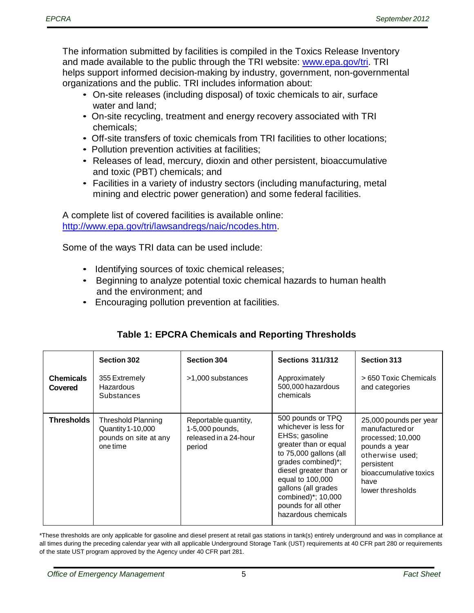The information submitted by facilities is compiled in the Toxics Release Inventory and made available to the public through the TRI website: [www.epa.gov/tri.](http://www.epa.gov/tri) TRI helps support informed decision-making by industry, government, non-governmental organizations and the public. TRI includes information about:

- On-site releases (including disposal) of toxic chemicals to air, surface water and land;
- On-site recycling, treatment and energy recovery associated with TRI chemicals;
- Off-site transfers of toxic chemicals from TRI facilities to other locations;
- Pollution prevention activities at facilities;
- Releases of lead, mercury, dioxin and other persistent, bioaccumulative and toxic (PBT) chemicals; and
- Facilities in a variety of industry sectors (including manufacturing, metal mining and electric power generation) and some federal facilities.

A complete list of covered facilities is available online: [http://www.epa.gov/tri/lawsandregs/naic/ncodes.htm.](http://www.epa.gov/tri/lawsandregs/naic/ncodes.htm)

Some of the ways TRI data can be used include:

- Identifying sources of toxic chemical releases;
- Beginning to analyze potential toxic chemical hazards to human health and the environment; and
- Encouraging pollution prevention at facilities.

|                             | Section 302                                                                  | Section 304                                                                | <b>Sections 311/312</b>                                                                                                                                                                                                                                                         | Section 313                                                                                                                                                            |
|-----------------------------|------------------------------------------------------------------------------|----------------------------------------------------------------------------|---------------------------------------------------------------------------------------------------------------------------------------------------------------------------------------------------------------------------------------------------------------------------------|------------------------------------------------------------------------------------------------------------------------------------------------------------------------|
| <b>Chemicals</b><br>Covered | 355 Extremely<br>Hazardous<br><b>Substances</b>                              | >1,000 substances                                                          | Approximately<br>500,000 hazardous<br>chemicals                                                                                                                                                                                                                                 | > 650 Toxic Chemicals<br>and categories                                                                                                                                |
| Thresholds                  | Threshold Planning<br>Quantity 1-10,000<br>pounds on site at any<br>one time | Reportable quantity,<br>1-5,000 pounds,<br>released in a 24-hour<br>period | 500 pounds or TPQ<br>whichever is less for<br>EHSs; gasoline<br>greater than or equal<br>to 75,000 gallons (all<br>grades combined)*;<br>diesel greater than or<br>equal to 100,000<br>gallons (all grades<br>combined)*; 10,000<br>pounds for all other<br>hazardous chemicals | 25,000 pounds per year<br>manufactured or<br>processed; 10,000<br>pounds a year<br>otherwise used;<br>persistent<br>bioaccumulative toxics<br>have<br>lower thresholds |

## **Table 1: EPCRA Chemicals and Reporting Thresholds**

\*These thresholds are only applicable for gasoline and diesel present at retail gas stations in tank(s) entirely underground and was in compliance at all times during the preceding calendar year with all applicable Underground Storage Tank (UST) requirements at 40 CFR part 280 or requirements of the state UST program approved by the Agency under 40 CFR part 281.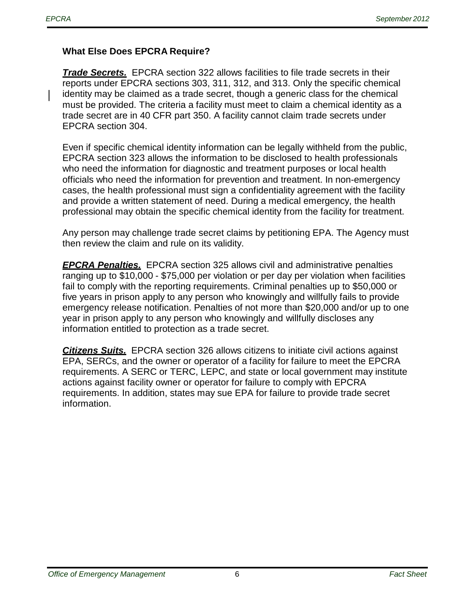## **What Else Does EPCRA Require?**

*Trade Secrets.* EPCRA section 322 allows facilities to file trade secrets in their reports under EPCRA sections 303, 311, 312, and 313. Only the specific chemical identity may be claimed as a trade secret, though a generic class for the chemical must be provided. The criteria a facility must meet to claim a chemical identity as a trade secret are in 40 CFR part 350. A facility cannot claim trade secrets under EPCRA section 304.

Even if specific chemical identity information can be legally withheld from the public, EPCRA section 323 allows the information to be disclosed to health professionals who need the information for diagnostic and treatment purposes or local health officials who need the information for prevention and treatment. In non-emergency cases, the health professional must sign a confidentiality agreement with the facility and provide a written statement of need. During a medical emergency, the health professional may obtain the specific chemical identity from the facility for treatment.

Any person may challenge trade secret claims by petitioning EPA. The Agency must then review the claim and rule on its validity.

*EPCRA Penalties.* EPCRA section 325 allows civil and administrative penalties ranging up to \$10,000 - \$75,000 per violation or per day per violation when facilities fail to comply with the reporting requirements. Criminal penalties up to \$50,000 or five years in prison apply to any person who knowingly and willfully fails to provide emergency release notification. Penalties of not more than \$20,000 and/or up to one year in prison apply to any person who knowingly and willfully discloses any information entitled to protection as a trade secret.

*Citizens Suits.* EPCRA section 326 allows citizens to initiate civil actions against EPA, SERCs, and the owner or operator of a facility for failure to meet the EPCRA requirements. A SERC or TERC, LEPC, and state or local government may institute actions against facility owner or operator for failure to comply with EPCRA requirements. In addition, states may sue EPA for failure to provide trade secret information.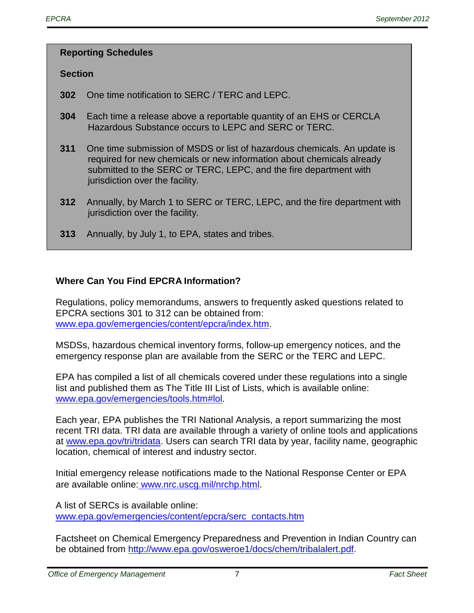#### **Reporting Schedules**

#### **Section**

- **302** One time notification to SERC / TERC and LEPC.
- **304** Each time a release above a reportable quantity of an EHS or CERCLA Hazardous Substance occurs to LEPC and SERC or TERC.
- **311** One time submission of MSDS or list of hazardous chemicals. An update is required for new chemicals or new information about chemicals already submitted to the SERC or TERC, LEPC, and the fire department with jurisdiction over the facility.
- **312** Annually, by March 1 to SERC or TERC, LEPC, and the fire department with jurisdiction over the facility.
- **313** Annually, by July 1, to EPA, states and tribes.

## **Where Can You Find EPCRA Information?**

Regulations, policy memorandums, answers to frequently asked questions related to EPCRA sections 301 to 312 can be obtained from: [www.epa.gov/emergencies/content/epcra/index.htm.](http://www.epa.gov/emergencies/content/epcra/index.htm)

MSDSs, hazardous chemical inventory forms, follow-up emergency notices, and the emergency response plan are available from the SERC or the TERC and LEPC.

EPA has compiled a list of all chemicals covered under these regulations into a single list and published them as The Title III List of Lists, which is available online: [www.epa.gov/emergencies/tools.htm#lol.](http://www.epa.gov/emergencies/tools.htm#lol)

Each year, EPA publishes the TRI National Analysis, a report summarizing the most recent TRI data. TRI data are available through a variety of online tools and applications at [www.epa.gov/tri/tridata.](http://www.epa.gov/tri/tridata) Users can search TRI data by year, facility name, geographic location, chemical of interest and industry sector.

Initial emergency release notifications made to the National Response Center or EPA are available online: [www.nrc.uscg.mil/nrchp.html.](http://www.nrc.uscg.mil/nrchp.html)

A list of SERCs is available online: [www.epa.gov/emergencies/content/epcra/serc\\_contacts.htm](http://www.epa.gov/emergencies/content/epcra/serc_contacts.htm)

Factsheet on Chemical Emergency Preparedness and Prevention in Indian Country can be obtained from [http://www.epa.gov/osweroe1/docs/chem/tribalalert.pdf.](http://www.epa.gov/osweroe1/docs/chem/tribalalert.pdf)